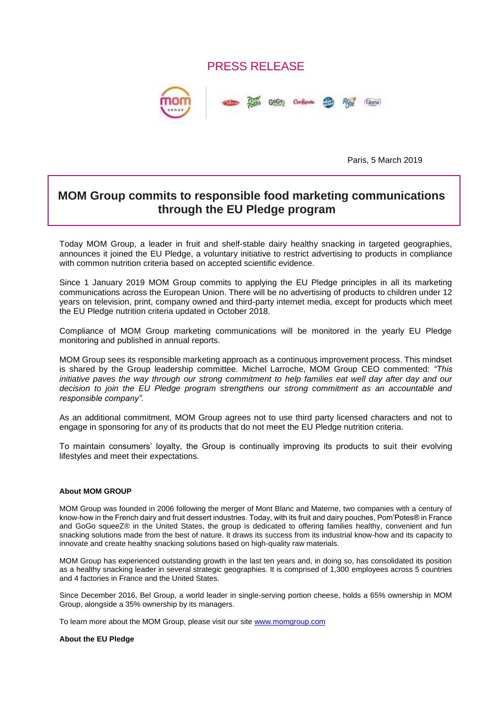## PRESS RELEASE



Paris, 5 March 2019

## **MOM Group commits to responsible food marketing communications through the EU Pledge program**

Today MOM Group, a leader in fruit and shelf-stable dairy healthy snacking in targeted geographies, announces it joined the EU Pledge, a voluntary initiative to restrict advertising to products in compliance with common nutrition criteria based on accepted scientific evidence.

Since 1 January 2019 MOM Group commits to applying the EU Pledge principles in all its marketing communications across the European Union. There will be no advertising of products to children under 12 years on television, print, company owned and third-party internet media, except for products which meet the EU Pledge nutrition criteria updated in October 2018.

Compliance of MOM Group marketing communications will be monitored in the yearly EU Pledge monitoring and published in annual reports.

MOM Group sees its responsible marketing approach as a continuous improvement process. This mindset is shared by the Group leadership committee. Michel Larroche, MOM Group CEO commented: *"This initiative paves the way through our strong commitment to help families eat well day after day and our decision to join the EU Pledge program strengthens our strong commitment as an accountable and responsible company".*

As an additional commitment, MOM Group agrees not to use third party licensed characters and not to engage in sponsoring for any of its products that do not meet the EU Pledge nutrition criteria.

To maintain consumers' loyalty, the Group is continually improving its products to suit their evolving lifestyles and meet their expectations.

## **About MOM GROUP**

MOM Group was founded in 2006 following the merger of Mont Blanc and Materne, two companies with a century of know-how in the French dairy and fruit dessert industries. Today, with its fruit and dairy pouches, Pom'Potes® in France and GoGo squeeZ® in the United States, the group is dedicated to offering families healthy, convenient and fun snacking solutions made from the best of nature. It draws its success from its industrial know-how and its capacity to innovate and create healthy snacking solutions based on high-quality raw materials.

MOM Group has experienced outstanding growth in the last ten years and, in doing so, has consolidated its position as a healthy snacking leader in several strategic geographies. It is comprised of 1,300 employees across 5 countries and 4 factories in France and the United States.

Since December 2016, Bel Group, a world leader in single-serving portion cheese, holds a 65% ownership in MOM Group, alongside a 35% ownership by its managers.

To learn more about the MOM Group, please visit our site [www.momgroup.com](http://www.momgroup.com/)

## **About the EU Pledge**